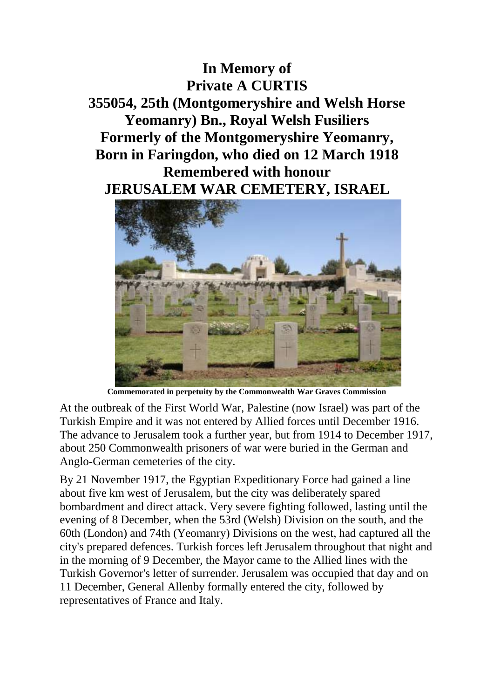## **In Memory of Private A CURTIS 355054, 25th (Montgomeryshire and Welsh Horse Yeomanry) Bn., Royal Welsh Fusiliers Formerly of the Montgomeryshire Yeomanry, Born in Faringdon, who died on 12 March 1918 Remembered with honour JERUSALEM WAR CEMETERY, ISRAEL**



**Commemorated in perpetuity by the Commonwealth War Graves Commission** 

At the outbreak of the First World War, Palestine (now Israel) was part of the Turkish Empire and it was not entered by Allied forces until December 1916. The advance to Jerusalem took a further year, but from 1914 to December 1917, about 250 Commonwealth prisoners of war were buried in the German and Anglo-German cemeteries of the city.

By 21 November 1917, the Egyptian Expeditionary Force had gained a line about five km west of Jerusalem, but the city was deliberately spared bombardment and direct attack. Very severe fighting followed, lasting until the evening of 8 December, when the 53rd (Welsh) Division on the south, and the 60th (London) and 74th (Yeomanry) Divisions on the west, had captured all the city's prepared defences. Turkish forces left Jerusalem throughout that night and in the morning of 9 December, the Mayor came to the Allied lines with the Turkish Governor's letter of surrender. Jerusalem was occupied that day and on 11 December, General Allenby formally entered the city, followed by representatives of France and Italy.